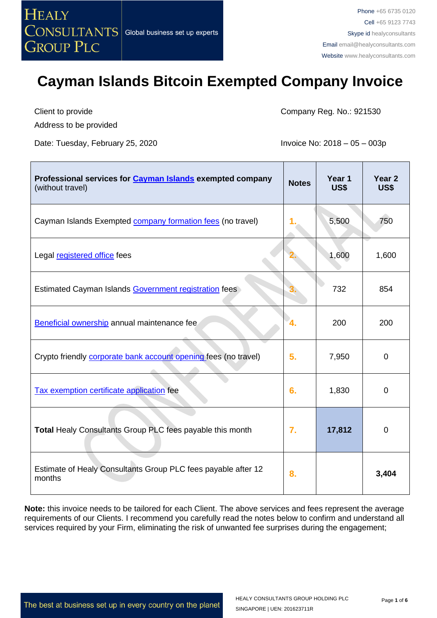

Client to provide Address to be provided Company Reg. No.: 921530

Date: Tuesday, February 25, 2020 Invoice No: 2018 – 05 – 003p

| Professional services for Cayman Islands exempted company<br>(without travel) | <b>Notes</b> | Year 1<br>US\$ | Year <sub>2</sub><br>US\$ |
|-------------------------------------------------------------------------------|--------------|----------------|---------------------------|
| Cayman Islands Exempted <b>company formation fees</b> (no travel)             |              | 5,500          | 750                       |
| Legal registered office fees                                                  |              | 1,600          | 1,600                     |
| Estimated Cayman Islands Government registration fees                         |              | 732            | 854                       |
| Beneficial ownership annual maintenance fee                                   | 4.           | 200            | 200                       |
| Crypto friendly corporate bank account opening fees (no travel)               | 5.           | 7,950          | $\overline{0}$            |
| Tax exemption certificate application fee                                     | 6.           | 1,830          | 0                         |
| Total Healy Consultants Group PLC fees payable this month                     | 7.           | 17,812         | 0                         |
| Estimate of Healy Consultants Group PLC fees payable after 12<br>months       | 8.           |                | 3,404                     |

**Note:** this invoice needs to be tailored for each Client. The above services and fees represent the average requirements of our Clients. I recommend you carefully read the notes below to confirm and understand all services required by your Firm, eliminating the risk of unwanted fee surprises during the engagement;

The best at business set up in every country on the planet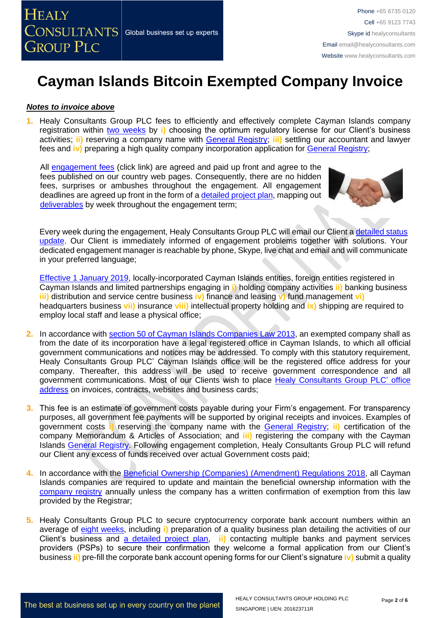

#### *Notes to invoice above*

**1.** Healy Consultants Group PLC fees to efficiently and effectively complete Cayman Islands company registration within two [weeks](http://www.healyconsultants.com/cayman-islands-company-registration/fees-timelines/#timelines) by i) choosing the optimum regulatory license for our Client's business activities; *ii*) reserving a company name with **General Registry;** *iii*) settling our accountant and lawyer fees and **iv)** preparing a high quality company incorporation application for [General Registry;](http://www.ciregistry.gov.ky/portal/page/portal/reghome)

All [engagement fees](http://www.healyconsultants.com/company-registration-fees/) (click link) are agreed and paid up front and agree to the fees published on our country web pages. Consequently, there are no hidden fees, surprises or ambushes throughout the engagement. All engagement deadlines are agreed up front in the form of a [detailed project plan,](http://www.healyconsultants.com/index-important-links/example-project-plan/) mapping out [deliverables](http://www.healyconsultants.com/deliverables-to-our-clients/) by week throughout the engagement term;



Every week during the engagement, Healy Consultants Group PLC will email our Client a [detailed status](http://www.healyconsultants.com/index-important-links/weekly-engagement-status-email/)  [update.](http://www.healyconsultants.com/index-important-links/weekly-engagement-status-email/) Our Client is immediately informed of engagement problems together with solutions. Your dedicated engagement manager is reachable by phone, Skype, live chat and email and will communicate in your preferred language;

[Effective 1 January 2019,](http://www.gov.ky/portal/pls/portal/docs/1/12738510.PDF) locally-incorporated Cayman Islands entities, foreign entities registered in Cayman Islands and limited partnerships engaging in **i)** holding company activities **ii)** banking business **iii)** distribution and service centre business **iv)** finance and leasing **v)** fund management **vi)** headquarters business **vii)** insurance **viii)** intellectual property holding and **ix)** shipping are required to employ local staff and lease a physical office;

- **2.** In accordance with [section 50 of Cayman Islands Companies Law 2013,](http://www.cimoney.com.ky/WorkArea/DownloadAsset.aspx?id=2147484123) an exempted company shall as from the date of its incorporation have a legal registered office in Cayman Islands, to which all official government communications and notices may be addressed. To comply with this statutory requirement, Healy Consultants Group PLC' Cayman Islands office will be the registered office address for your company. Thereafter, this address will be used to receive government correspondence and all government communications. Most of our Clients wish to place [Healy Consultants Group PLC'](http://www.healyconsultants.com/corporate-outsourcing-services/company-secretary-and-legal-registered-office/) office [address](http://www.healyconsultants.com/corporate-outsourcing-services/company-secretary-and-legal-registered-office/) on invoices, contracts, websites and business cards;
- **3.** This fee is an estimate of government costs payable during your Firm's engagement. For transparency purposes, all government fee payments will be supported by original receipts and invoices. Examples of government costs **i)** reserving the company name with the [General Registry;](http://www.ciregistry.gov.ky/portal/page/portal/reghome) **ii)** certification of the company Memorandum & Articles of Association; and **iii)** registering the company with the Cayman Islands [General Registry.](http://www.ciregistry.gov.ky/portal/page/portal/reghome) Following engagement completion, Healy Consultants Group PLC will refund our Client any excess of funds received over actual Government costs paid;
- **4.** In accordance with the [Beneficial Ownership \(Companies\) \(Amendment\) Regulations 2018,](http://www.gov.ky/portal/pls/portal/docs/1/12600381.PDF) all Cayman Islands companies are required to update and maintain the beneficial ownership information with the [company registry](https://www.ciregistry.ky/) annually unless the company has a written confirmation of exemption from this law provided by the Registrar;
- **5.** Healy Consultants Group PLC to secure cryptocurrency corporate bank account numbers within an average of [eight weeks,](http://www.healyconsultants.com/international-banking/bitcoin-business-bank-account/) including **i)** preparation of a quality business plan detailing the activities of our Client's business and [a detailed project plan,](http://www.healyconsultants.com/index-important-links/example-project-plan/) **ii)** contacting multiple banks and payment services providers (PSPs) to secure their confirmation they welcome a formal application from our Client's business **ii)** pre-fill the corporate bank account opening forms for our Client's signature **iv)** submit a quality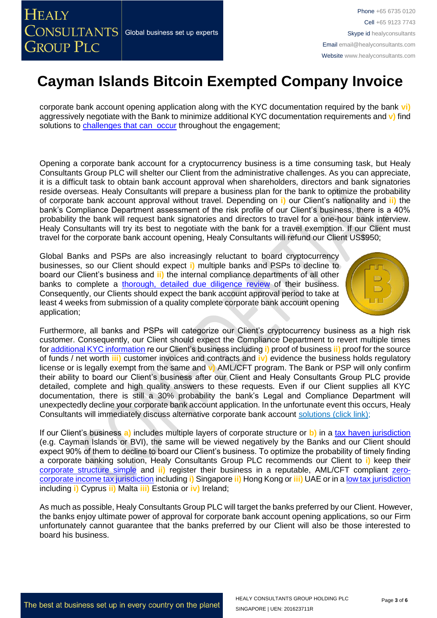corporate bank account opening application along with the KYC documentation required by the bank **vi)** aggressively negotiate with the Bank to minimize additional KYC documentation requirements and **v)** find solutions to [challenges that can occur](http://www.healyconsultants.com/engagement-project-management/) throughout the engagement;

Opening a corporate bank account for a cryptocurrency business is a time consuming task, but Healy Consultants Group PLC will shelter our Client from the administrative challenges. As you can appreciate, it is a difficult task to obtain bank account approval when shareholders, directors and bank signatories reside overseas. Healy Consultants will prepare a business plan for the bank to optimize the probability of corporate bank account approval without travel. Depending on **i)** our Client's nationality and **ii)** the bank's Compliance Department assessment of the risk profile of our Client's business, there is a 40% probability the bank will request bank signatories and directors to travel for a one-hour bank interview. Healy Consultants will try its best to negotiate with the bank for a travel exemption. If our Client must travel for the corporate bank account opening, Healy Consultants will refund our Client US\$950;

Global Banks and PSPs are also increasingly reluctant to board cryptocurrency businesses, so our Client should expect **i)** multiple banks and PSPs to decline to board our Client's business and **ii)** the internal compliance departments of all other banks to complete a *[thorough, detailed due diligence review](http://www.healyconsultants.com/international-banking/opening-corporate-bank-accounts/)* of their business. Consequently, our Clients should expect the bank account approval period to take at least 4 weeks from submission of a quality complete corporate bank account opening application;

Furthermore, all banks and PSPs will categorize our Client's cryptocurrency business as a high risk customer. Consequently, our Client should expect the Compliance Department to revert multiple times for [additional KYC information](http://www.healyconsultants.com/due-diligence/) re our Client's business including **i)** proof of business **ii)** proof for the source of funds / net worth **iii)** customer invoices and contracts and **iv)** evidence the business holds regulatory license or is legally exempt from the same and **v)** AML/CFT program. The Bank or PSP will only confirm their ability to board our Client's business after our Client and Healy Consultants Group PLC provide detailed, complete and high quality answers to these requests. Even if our Client supplies all KYC documentation, there is still a 30% probability the bank's Legal and Compliance Department will unexpectedly decline your corporate bank account application. In the unfortunate event this occurs, Healy Consultants will immediately discuss alternative corporate bank account [solutions \(click link\);](http://www.healyconsultants.com/global-corporate-banking-for-resident-company/)

If our Client's business **a)** includes multiple layers of corporate structure or **b)** in a [tax haven jurisdiction](http://www.healyconsultants.com/offshore-company-formation/traditional-tax-haven-companies/) (e.g. Cayman Islands or BVI), the same will be viewed negatively by the Banks and our Client should expect 90% of them to decline to board our Client's business. To optimize the probability of timely finding a corporate banking solution, Healy Consultants Group PLC recommends our Client to **i)** keep their [corporate structure simple](http://www.healyconsultants.com/about-us/complex-client-engagements/simplify-business-setup/) and **ii)** register their business in a reputable, AML/CFT compliant [zero](http://www.healyconsultants.com/company-formation/reputable-zero-tax-countries/)[corporate income tax jurisdiction](http://www.healyconsultants.com/company-formation/reputable-zero-tax-countries/) including **i)** Singapore **ii)** Hong Kong or **iii)** UAE or in [a low tax jurisdiction](http://www.healyconsultants.com/company-formation/low-tax-jurisdictions/) including **i)** Cyprus **ii)** Malta **iii)** Estonia or **iv)** Ireland;

As much as possible, Healy Consultants Group PLC will target the banks preferred by our Client. However, the banks enjoy ultimate power of approval for corporate bank account opening applications, so our Firm unfortunately cannot guarantee that the banks preferred by our Client will also be those interested to board his business.





**HEALY**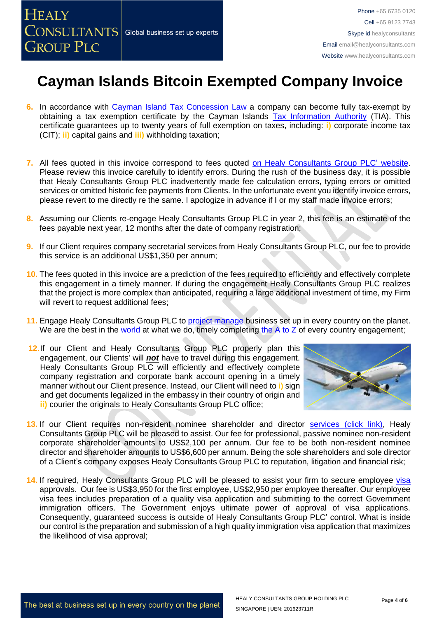- **6.** In accordance with [Cayman Island Tax Concession Law](http://www.gov.ky/portal/pls/portal/docs/1/11524841.PDF) a company can become fully tax-exempt by obtaining a tax exemption certificate by the Cayman Islands [Tax Information Authority](http://www.tia.gov.ky/) (TIA). This certificate guarantees up to twenty years of full exemption on taxes, including: **i)** corporate income tax (CIT); **ii)** capital gains and **iii)** withholding taxation;
- **7.** All fees quoted in this invoice correspond to fees quoted [on Healy Consultants Group PLC'](http://www.healyconsultants.com/company-registration-fees/) website. Please review this invoice carefully to identify errors. During the rush of the business day, it is possible that Healy Consultants Group PLC inadvertently made fee calculation errors, typing errors or omitted services or omitted historic fee payments from Clients. In the unfortunate event you identify invoice errors, please revert to me directly re the same. I apologize in advance if I or my staff made invoice errors;
- **8.** Assuming our Clients re-engage Healy Consultants Group PLC in year 2, this fee is an estimate of the fees payable next year, 12 months after the date of company registration;
- **9.** If our Client requires company secretarial services from Healy Consultants Group PLC, our fee to provide this service is an additional US\$1,350 per annum;
- **10.** The fees quoted in this invoice are a prediction of the fees required to efficiently and effectively complete this engagement in a timely manner. If during the engagement Healy Consultants Group PLC realizes that the project is more complex than anticipated, requiring a large additional investment of time, my Firm will revert to request additional fees;
- **11.** Engage Healy Consultants Group PLC to [project manage](http://www.healyconsultants.com/project-manage-engagements/) business set up in every country on the planet. We are the best in the [world](http://www.healyconsultants.com/best-in-the-world/) at what we do, timely completing the  $A$  to  $Z$  of every country engagement;
- **12.**If our Client and Healy Consultants Group PLC properly plan this engagement, our Clients' will *not* have to travel during this engagement. Healy Consultants Group PLC will efficiently and effectively complete company registration and corporate bank account opening in a timely manner without our Client presence. Instead, our Client will need to **i)** sign and get documents legalized in the embassy in their country of origin and **ii)** courier the originals to Healy Consultants Group PLC office;



- **13.** If our Client requires non-resident nominee shareholder and director services [\(click link\),](http://www.healyconsultants.com/corporate-outsourcing-services/nominee-shareholders-directors/) Healy Consultants Group PLC will be pleased to assist. Our fee for professional, passive nominee non-resident corporate shareholder amounts to US\$2,100 per annum. Our fee to be both non-resident nominee director and shareholder amounts to US\$6,600 per annum. Being the sole shareholders and sole director of a Client's company exposes Healy Consultants Group PLC to reputation, litigation and financial risk;
- 14. If required, Healy Consultants Group PLC will be pleased to assist your firm to secure employee [visa](http://www.healyconsultants.com/corporate-advisory-services/migration/) approvals. Our fee is US\$3,950 for the first employee, US\$2,950 per employee thereafter. Our employee visa fees includes preparation of a quality visa application and submitting to the correct Government immigration officers. The Government enjoys ultimate power of approval of visa applications. Consequently, guaranteed success is outside of Healy Consultants Group PLC' control. What is inside our control is the preparation and submission of a high quality immigration visa application that maximizes the likelihood of visa approval;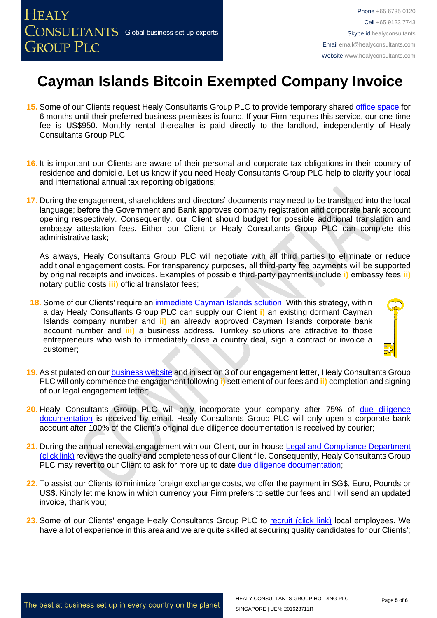- **15.** Some of our Clients request Healy Consultants Group PLC to provide temporary shared [office space](http://www.healyconsultants.com/virtual-office/) for 6 months until their preferred business premises is found. If your Firm requires this service, our one-time fee is US\$950. Monthly rental thereafter is paid directly to the landlord, independently of Healy Consultants Group PLC;
- **16.** It is important our Clients are aware of their personal and corporate tax obligations in their country of residence and domicile. Let us know if you need Healy Consultants Group PLC help to clarify your local and international annual tax reporting obligations;
- **17.** During the engagement, shareholders and directors' documents may need to be translated into the local language; before the Government and Bank approves company registration and corporate bank account opening respectively. Consequently, our Client should budget for possible additional translation and embassy attestation fees. Either our Client or Healy Consultants Group PLC can complete this administrative task;

As always, Healy Consultants Group PLC will negotiate with all third parties to eliminate or reduce additional engagement costs. For transparency purposes, all third-party fee payments will be supported by original receipts and invoices. Examples of possible third-party payments include **i)** embassy fees **ii)** notary public costs **iii)** official translator fees;

- **18.** Some of our Clients' require an [immediate Cayman Islands](http://www.healyconsultants.com/turnkey-solutions/) solution. With this strategy, within a day Healy Consultants Group PLC can supply our Client **i)** an existing dormant Cayman Islands company number and **ii)** an already approved Cayman Islands corporate bank account number and **iii)** a business address. Turnkey solutions are attractive to those entrepreneurs who wish to immediately close a country deal, sign a contract or invoice a customer;
- **19.** As stipulated on ou[r business website](http://www.healyconsultants.com/) and in section 3 of our engagement letter, Healy Consultants Group PLC will only commence the engagement following **i)** settlement of our fees and **ii)** completion and signing of our legal engagement letter;
- **20.** Healy Consultants Group PLC will only incorporate your company after 75% of [due diligence](http://www.healyconsultants.com/due-diligence/)  [documentation](http://www.healyconsultants.com/due-diligence/) is received by email. Healy Consultants Group PLC will only open a corporate bank account after 100% of the Client's original due diligence documentation is received by courier;
- **21.** During the annual renewal engagement with our Client, our in-house [Legal and Compliance Department](http://www.healyconsultants.com/about-us/key-personnel/cai-xin-profile/)  [\(click link\)](http://www.healyconsultants.com/about-us/key-personnel/cai-xin-profile/) reviews the quality and completeness of our Client file. Consequently, Healy Consultants Group PLC may revert to our Client to ask for more up to date [due diligence documentation;](http://www.healyconsultants.com/due-diligence/)
- **22.** To assist our Clients to minimize foreign exchange costs, we offer the payment in SG\$, Euro, Pounds or US\$. Kindly let me know in which currency your Firm prefers to settle our fees and I will send an updated invoice, thank you;
- **23.** Some of our Clients' engage Healy Consultants Group PLC to [recruit \(click link\)](http://www.healyconsultants.com/corporate-outsourcing-services/how-we-help-our-clients-recruit-quality-employees/) local employees. We have a lot of experience in this area and we are quite skilled at securing quality candidates for our Clients';